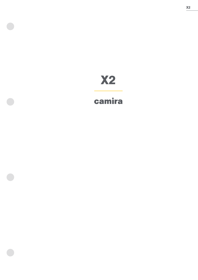## X2

## camira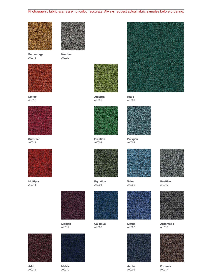## Photographic fabric scans are not colour accurate. Always request actual fabric samples before ordering.



Percentage AK016



Number AK020



Divide AK015



**Subtract** AK013



Multiply AK014



Median AK011



Add AK012



Metric AK010



Algebra AK005



Fraction AK003



Equation AK004



Calculus AK008



Ratio AK001



Polygon AK002



Value AK006



Maths AK007



Acute AK009



Positive AK019



Arithmetic AK018



Formula AK017